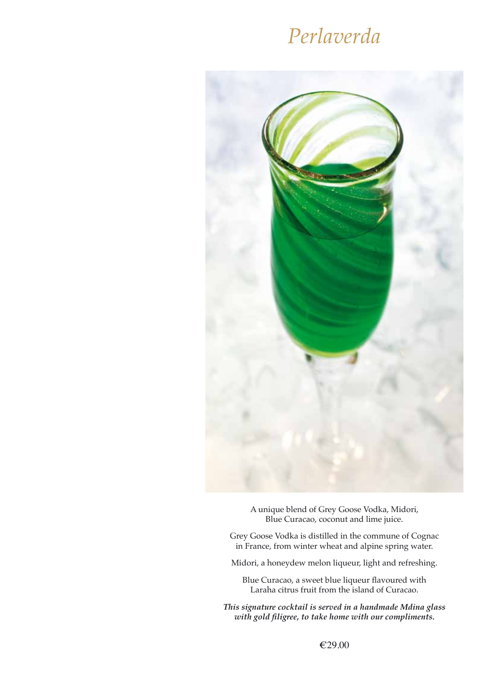## *Perlaverda*



A unique blend of Grey Goose Vodka, Midori, Blue Curacao, coconut and lime juice.

Grey Goose Vodka is distilled in the commune of Cognac in France, from winter wheat and alpine spring water.

Midori, a honeydew melon liqueur, light and refreshing.

Blue Curacao, a sweet blue liqueur flavoured with Laraha citrus fruit from the island of Curacao.

*This signature cocktail is served in a handmade Mdina glass with gold filigree, to take home with our compliments.*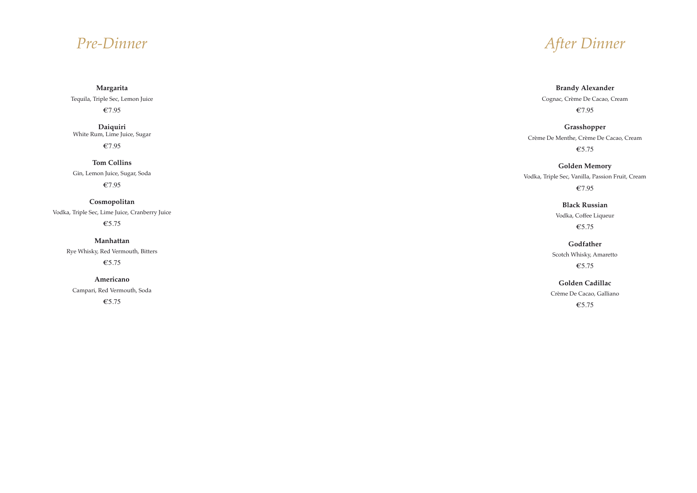## *Pre-Dinner*

**Margarita**

Tequila, Triple Sec, Lemon Juice

€7.95

**Daiquiri** White Rum, Lime Juice, Sugar

€7.95

**Tom Collins**

Gin, Lemon Juice, Sugar, Soda

€7.95

**Cosmopolitan**

Vodka, Triple Sec, Lime Juice, Cranberry Juice €5.75

> **Manhattan** Rye Whisky, Red Vermouth, Bitters €5.75

**Americano** Campari, Red Vermouth, Soda €5.75

*After Dinner* 

## **Brandy Alexander**

Cognac, Crème De Cacao, Cream €7.95

## **Grasshopper**

Crème De Menthe, Crème De Cacao, Cream €5.75

## **Golden Memory**

Vodka, Triple Sec, Vanilla, Passion Fruit, Cream €7.95

## **Black Russian**

Vodka, Coffee Liqueur €5.75

## **Godfather**

Scotch Whisky, Amaretto €5.75

### **Golden Cadillac**

Crème De Cacao, Galliano

€5.75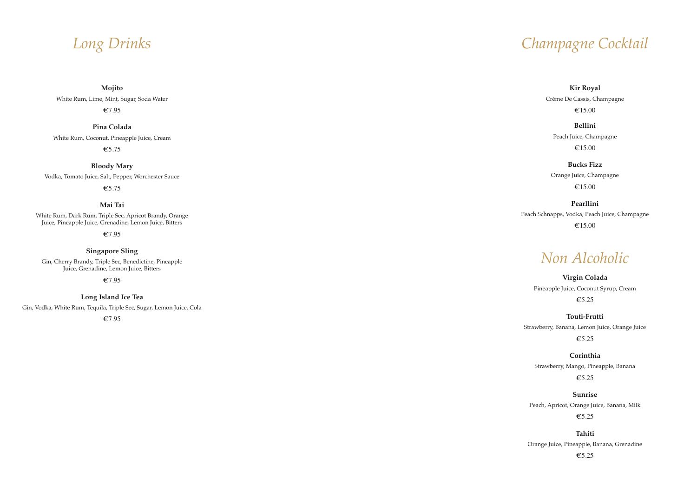# *Long Drinks*

**Mojito**

White Rum, Lime, Mint, Sugar, Soda Water

€7.95

**Pina Colada**

White Rum, Coconut, Pineapple Juice, Cream

€5.75

**Bloody Mary**

Vodka, Tomato Juice, Salt, Pepper, Worchester Sauce

€5.75

## **Mai Tai**

White Rum, Dark Rum, Triple Sec, Apricot Brandy, Orange Juice, Pineapple Juice, Grenadine, Lemon Juice, Bitters

€7.95

### **Singapore Sling**

Gin, Cherry Brandy, Triple Sec, Benedictine, Pineapple Juice, Grenadine, Lemon Juice, Bitters

€7.95

#### **Long Island Ice Tea**

Gin, Vodka, White Rum, Tequila, Triple Sec, Sugar, Lemon Juice, Cola

€7.95



### **Kir Royal**

Crème De Cassis, Champagne

€15.00

## **Bellini**

Peach Juice, Champagne €15.00

#### **Bucks Fizz**

Orange Juice, Champagne €15.00

## **Pearllini**

Peach Schnapps, Vodka, Peach Juice, Champagne €15.00

## *Non Alcoholic*

## **Virgin Colada**  Pineapple Juice, Coconut Syrup, Cream €5.25

**Touti-Frutti** Strawberry, Banana, Lemon Juice, Orange Juice

€5.25

## **Corinthia**

Strawberry, Mango, Pineapple, Banana €5.25

### **Sunrise**

Peach, Apricot, Orange Juice, Banana, Milk €5.25

### **Tahiti**

Orange Juice, Pineapple, Banana, Grenadine €5.25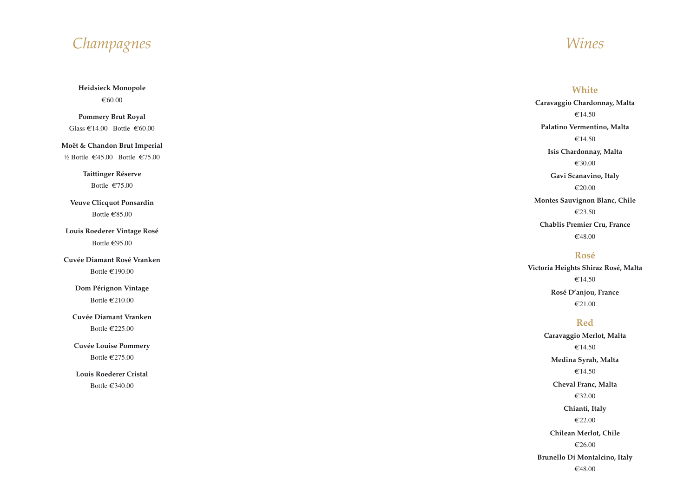## *Wines*

## **White**

**Caravaggio Chardonnay, Malta**  €14.50 **Palatino Vermentino, Malta**  €14.50 **Isis Chardonnay, Malta** €30.00 **Gavi Scanavino, Italy**  €20.00 **Montes Sauvignon Blanc, Chile** €23.50

**Chablis Premier Cru, France** €48.00

## **Rosé**

**Victoria Heights Shiraz Rosé, Malta**  €14.50 **Rosé D'anjou, France**  €21.00

**Pommery Brut Royal** Glass  $\text{\textsterling}14.00$  Bottle  $\text{\textsterling}60.00$ 

## **Red**

**Dom Pérignon Vintage** Bottle  $\epsilon$ 210.00

> **Caravaggio Merlot, Malta**  €14.50 **Medina Syrah, Malta**  €14.50 **Cheval Franc, Malta**  €32.00 **Chianti, Italy**  €22.00 **Chilean Merlot, Chile**  €26.00 **Brunello Di Montalcino, Italy** €48.00

*Champagnes*

**Heidsieck Monopole** €60.00

#### **Moët & Chandon Brut Imperial**

½ Bottle €45.00 Bottle €75.00

#### **Taittinger Réserve**

Bottle €75.00

**Veuve Clicquot Ponsardin** Bottle €85.00

## **Louis Roederer Vintage Rosé** Bottle €95.00

**Cuvée Diamant Rosé Vranken**

Bottle €190.00

#### **Cuvée Diamant Vranken**

Bottle €225.00

#### **Cuvée Louise Pommery**

Bottle  $\epsilon$ 275.00

#### **Louis Roederer Cristal**

Bottle €340.00